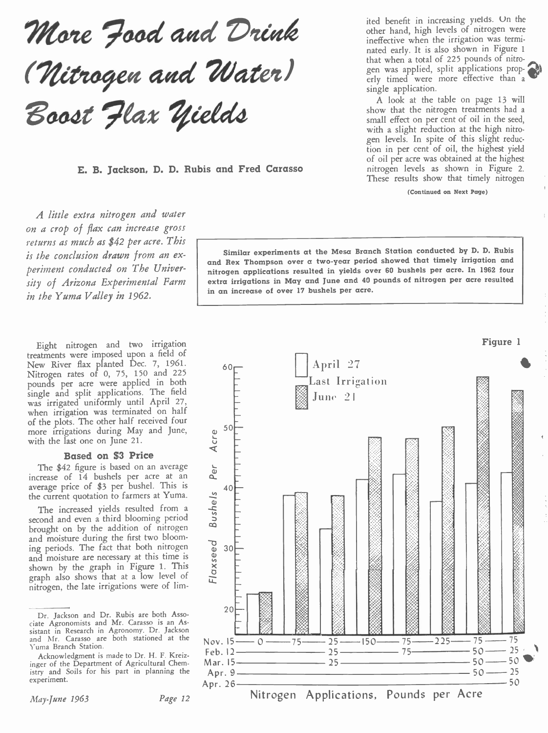More Food and Drink (Nitrogen and Water) Boost Flax Yields

E. B. Jackson, D. D. Rubis and Fred Carasso

A little extra nitrogen and water on a crop of flax can increase gross returns as much as \$42 per acre. This is the conclusion drawn from an experiment conducted on The University of Arizona Experimental Farm in the Yuma Valley in 1962.

Eight nitrogen and two irrigation treatments were imposed upon a field of New River flax planted Dec. 7, 1961. Nitrogen rates of 0, 75, 150 and 225 pounds per acre were applied in both single and split applications. The field was irrigated uniformly until April 27, when irrigation was terminated on half of the plots. The other half received four more irrigations during May and June, with the last one on June 21.

## Based on \$3 Price

The \$42 figure is based on an average  $\frac{1}{\omega}$ <br>crease of 14 bushels per acre at an increase of 14 bushels per acre at an the current quotation to farmers at Yuma.

average price of \$3 per bushel. This is<br>the current quotation to farmers at Yuma.<br>The increased yields resulted from a<br>second and even a third blooming period<br> $\frac{1}{2}$ The increased yields resulted from a second and even a third blooming period brought on by the addition of nitrogen and moisture during the first two blooming periods. The fact that both nitrogen and moisture are necessary at this time is shown by the graph in Figure 1. This graph also shows that at a low level of nitrogen, the late irrigations were of lim-

May-June 1963 Page 12

ited benefit in increasing yields. Un the other hand, high levels of nitrogen were ineffective when the irrigation was terminated early. It is also shown in Figure i that when a total of 225 pounds of nitrogen was applied, split applications properly timed were more effective than a single application.

A look at the table on page 13 will show that the nitrogen treatments had a small effect on per cent of oil in the seed, with a slight reduction at the high nitrogen levels. In spite of this slight reduction in per cent of oil, the highest yield of oil per acre was obtained at the highest nitrogen levels as shown in Figure 2. These results show that timely nitrogen

(Continued on Next Page)

Similar experiments at the Mesa Branch Station conducted by D. D. Rubis and Rex Thompson over a two-year period showed that timely irrigation and nitrogen applications resulted in yields over 60 bushels per acre. In 1962 four extra irrigations in May and June and 40 pounds of nitrogen per acre resulted in an increase of over 17 bushels per acre.



Dr. Jackson and Dr. Rubis are both Asso-<br>ciate Agronomists and Mr. Carasso is an Assistant in Research in Agronomy. Dr. Jackson and Mr. Carasso are both stationed at the Yuma Branch Station.

Acknowledgment is made to Dr. H. F. Kreizinger of the Department of Agricultural Chemistry and Soils for his part in planning the experiment.